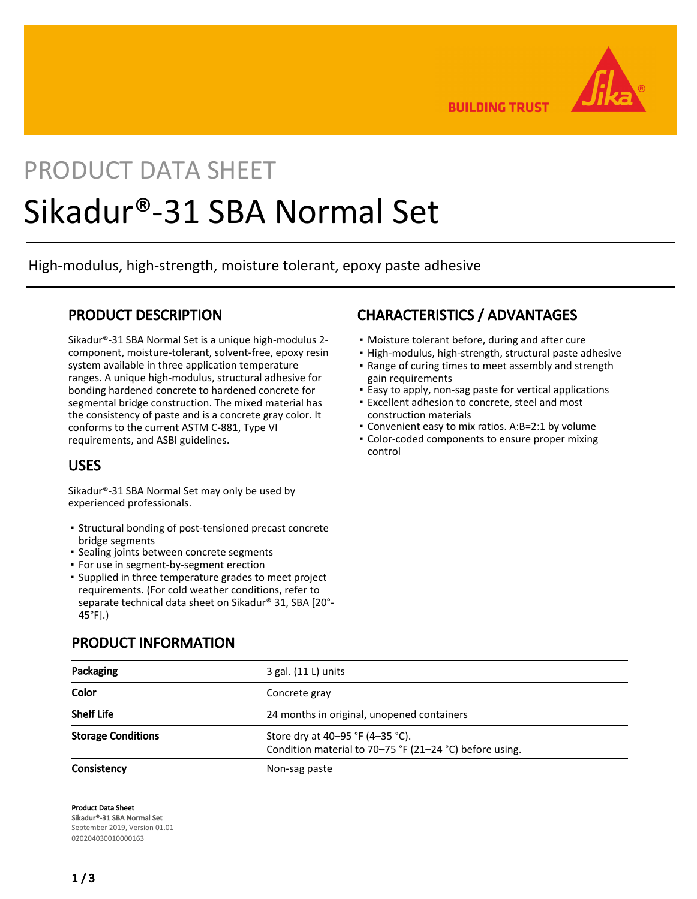

**BUILDING TRUST** 

# PRODUCT DATA SHEET Sikadur®-31 SBA Normal Set

High-modulus, high-strength, moisture tolerant, epoxy paste adhesive

## PRODUCT DESCRIPTION

Sikadur®-31 SBA Normal Set is a unique high-modulus 2 component, moisture-tolerant, solvent-free, epoxy resin system available in three application temperature ranges. A unique high-modulus, structural adhesive for bonding hardened concrete to hardened concrete for segmental bridge construction. The mixed material has the consistency of paste and is a concrete gray color. It conforms to the current ASTM C-881, Type VI requirements, and ASBI guidelines.

## USES

Sikadur®-31 SBA Normal Set may only be used by experienced professionals.

- **Example 3 Structural bonding of post-tensioned precast concrete** bridge segments
- **· Sealing joints between concrete segments**
- **For use in segment-by-segment erection**
- **·** Supplied in three temperature grades to meet project requirements. (For cold weather conditions, refer to separate technical data sheet on Sikadur® 31, SBA [20°- 45°F].)

## PRODUCT INFORMATION

## CHARACTERISTICS / ADVANTAGES

- Moisture tolerant before, during and after cure
- High-modulus, high-strength, structural paste adhesive
- Range of curing times to meet assembly and strength gain requirements
- **Easy to apply, non-sag paste for vertical applications**
- Excellent adhesion to concrete, steel and most construction materials
- Convenient easy to mix ratios. A:B=2:1 by volume
- **Color-coded components to ensure proper mixing** control

| Packaging                 | $3$ gal. $(11 L)$ units                                                                     |  |  |  |
|---------------------------|---------------------------------------------------------------------------------------------|--|--|--|
| Color                     | Concrete gray                                                                               |  |  |  |
| <b>Shelf Life</b>         | 24 months in original, unopened containers                                                  |  |  |  |
| <b>Storage Conditions</b> | Store dry at 40-95 °F (4-35 °C).<br>Condition material to 70-75 °F (21-24 °C) before using. |  |  |  |
| Consistency               | Non-sag paste                                                                               |  |  |  |

Product Data Sheet Sikadur®-31 SBA Normal Set September 2019, Version 01.01 020204030010000163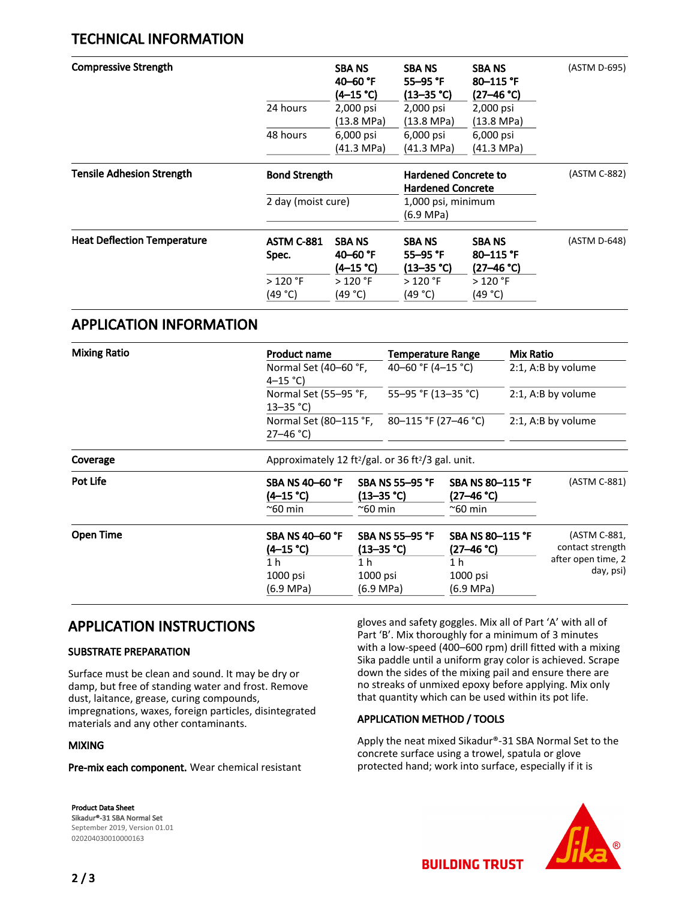## TECHNICAL INFORMATION

| <b>Compressive Strength</b>        |                            | <b>SBA NS</b><br>40–60 $^{\circ}$ F<br>(4–15 °C) | <b>SBA NS</b><br>55–95 $\degree$ F<br>$(13 - 35 °C)$    | <b>SBA NS</b><br>$80 - 115$ °F<br>(27–46 °C)    | (ASTM D-695) |
|------------------------------------|----------------------------|--------------------------------------------------|---------------------------------------------------------|-------------------------------------------------|--------------|
|                                    | 24 hours                   | 2,000 psi<br>(13.8 MPa)                          | 2,000 psi<br>(13.8 MPa)                                 | 2,000 psi<br>(13.8 MPa)                         |              |
|                                    | 48 hours                   | 6,000 psi<br>(41.3 MPa)                          | 6,000 psi<br>(41.3 MPa)                                 | 6,000 psi<br>(41.3 MPa)                         |              |
| Tensile Adhesion Strength          | <b>Bond Strength</b>       |                                                  | <b>Hardened Concrete to</b><br><b>Hardened Concrete</b> |                                                 | (ASTM C-882) |
|                                    | 2 day (moist cure)         |                                                  | 1,000 psi, minimum<br>(6.9 MPa)                         |                                                 |              |
| <b>Heat Deflection Temperature</b> | <b>ASTM C-881</b><br>Spec. | <b>SBANS</b><br>40–60 $^{\circ}$ F<br>(4–15 °C)  | <b>SBANS</b><br>$55 - 95$ °F<br>$(13 - 35 \text{ °C})$  | <b>SBANS</b><br>$80 - 115$ °F<br>$(27 - 46 °C)$ | (ASTM D-648) |
|                                    | $>120$ °F<br>(49 °C)       | $>120$ °F<br>(49 °C)                             | $>120$ °F<br>(49 °C)                                    | > 120 °F<br>(49 °C)                             |              |

## APPLICATION INFORMATION

| <b>Mixing Ratio</b> | <b>Product name</b><br>$4 - 15$ °C)                      | Normal Set (40–60 °F,                                                      |                                                                                                | Temperature Range<br>40-60 °F (4-15 °C)                 |  | Mix Ratio<br>2:1, A:B by volume                                     |  |  |
|---------------------|----------------------------------------------------------|----------------------------------------------------------------------------|------------------------------------------------------------------------------------------------|---------------------------------------------------------|--|---------------------------------------------------------------------|--|--|
|                     | $13 - 35$ °C)                                            | Normal Set (55-95 °F,                                                      |                                                                                                | 55-95 °F (13-35 °C)                                     |  | 2:1, A:B by volume                                                  |  |  |
|                     | $27 - 46$ °C)                                            | Normal Set (80–115 °F,                                                     |                                                                                                | 80-115 °F (27-46 °C)                                    |  | 2:1, A:B by volume                                                  |  |  |
| Coverage            |                                                          | Approximately 12 ft <sup>2</sup> /gal. or 36 ft <sup>2</sup> /3 gal. unit. |                                                                                                |                                                         |  |                                                                     |  |  |
| Pot Life            | <b>SBA NS 40-60 °F</b><br>(4–15 °C)<br>~60 min           | ~60 min                                                                    | SBA NS 55-95 °F<br>SBA NS 80-115 °F<br>(13–35 °C)<br>$(27 - 46 \degree C)$<br>$^{\sim}$ 60 min |                                                         |  | (ASTM C-881)                                                        |  |  |
| <b>Open Time</b>    | <b>SBA NS 40-60 °F</b><br>$(4-15 °C)$<br>1 h<br>1000 psi | SBA NS 55-95 °F<br>(13–35 °C)<br>1 h<br>$1000$ psi                         |                                                                                                | SBA NS 80-115 °F<br>$(27 - 46 °C)$<br>1 h<br>$1000$ psi |  | (ASTM C-881,<br>contact strength<br>after open time, 2<br>day, psi) |  |  |
|                     | (6.9 MPa)                                                | (6.9 MPa)                                                                  |                                                                                                | (6.9 MPa)                                               |  |                                                                     |  |  |

## APPLICATION INSTRUCTIONS

### SUBSTRATE PREPARATION

Surface must be clean and sound. It may be dry or damp, but free of standing water and frost. Remove dust, laitance, grease, curing compounds, impregnations, waxes, foreign particles, disintegrated materials and any other contaminants.

### MIXING

Pre-mix each component. Wear chemical resistant

Product Data Sheet Sikadur®-31 SBA Normal Set September 2019, Version 01.01 020204030010000163

gloves and safety goggles. Mix all of Part 'A' with all of Part 'B'. Mix thoroughly for a minimum of 3 minutes with a low-speed (400–600 rpm) drill fitted with a mixing Sika paddle until a uniform gray color is achieved. Scrape down the sides of the mixing pail and ensure there are no streaks of unmixed epoxy before applying. Mix only that quantity which can be used within its pot life.

### APPLICATION METHOD / TOOLS

Apply the neat mixed Sikadur®-31 SBA Normal Set to the concrete surface using a trowel, spatula or glove protected hand; work into surface, especially if it is



**BUILDING TRUST**